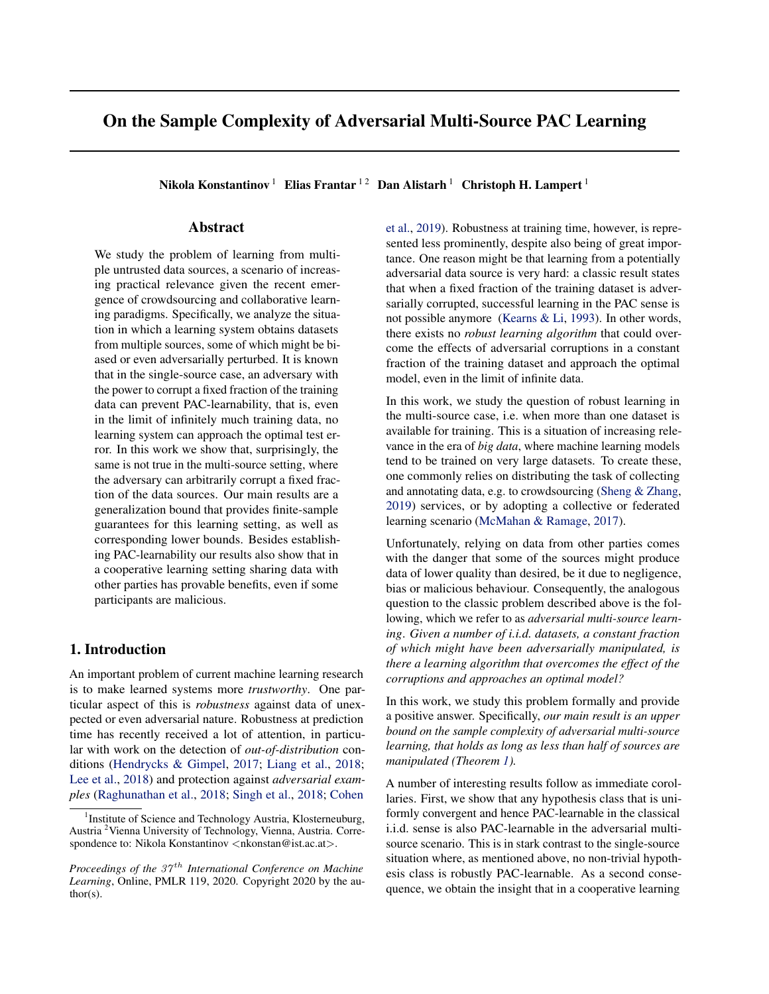# On the Sample Complexity of Adversarial Multi-Source PAC Learning

Nikola Konstantinov<sup>1</sup> Elias Frantar<sup>12</sup> Dan Alistarh<sup>1</sup> Christoph H. Lampert<sup>1</sup>

# Abstract

We study the problem of learning from multiple untrusted data sources, a scenario of increasing practical relevance given the recent emergence of crowdsourcing and collaborative learning paradigms. Specifically, we analyze the situation in which a learning system obtains datasets from multiple sources, some of which might be biased or even adversarially perturbed. It is known that in the single-source case, an adversary with the power to corrupt a fixed fraction of the training data can prevent PAC-learnability, that is, even in the limit of infinitely much training data, no learning system can approach the optimal test error. In this work we show that, surprisingly, the same is not true in the multi-source setting, where the adversary can arbitrarily corrupt a fixed fraction of the data sources. Our main results are a generalization bound that provides finite-sample guarantees for this learning setting, as well as corresponding lower bounds. Besides establishing PAC-learnability our results also show that in a cooperative learning setting sharing data with other parties has provable benefits, even if some participants are malicious.

# 1. Introduction

An important problem of current machine learning research is to make learned systems more *trustworthy*. One particular aspect of this is *robustness* against data of unexpected or even adversarial nature. Robustness at prediction time has recently received a lot of attention, in particular with work on the detection of *out-of-distribution* conditions [\(Hendrycks & Gimpel,](#page-9-0) [2017;](#page-9-0) [Liang et al.,](#page-9-0) [2018;](#page-9-0) [Lee et al.,](#page-9-0) [2018\)](#page-9-0) and protection against *adversarial examples* [\(Raghunathan et al.,](#page-9-0) [2018;](#page-9-0) [Singh et al.,](#page-9-0) [2018;](#page-9-0) [Cohen](#page-9-0) [et al.,](#page-9-0) [2019\)](#page-9-0). Robustness at training time, however, is represented less prominently, despite also being of great importance. One reason might be that learning from a potentially adversarial data source is very hard: a classic result states that when a fixed fraction of the training dataset is adversarially corrupted, successful learning in the PAC sense is not possible anymore [\(Kearns & Li,](#page-9-0) [1993\)](#page-9-0). In other words, there exists no *robust learning algorithm* that could overcome the effects of adversarial corruptions in a constant fraction of the training dataset and approach the optimal model, even in the limit of infinite data.

In this work, we study the question of robust learning in the multi-source case, i.e. when more than one dataset is available for training. This is a situation of increasing relevance in the era of *big data*, where machine learning models tend to be trained on very large datasets. To create these, one commonly relies on distributing the task of collecting and annotating data, e.g. to crowdsourcing [\(Sheng & Zhang,](#page-9-0) [2019\)](#page-9-0) services, or by adopting a collective or federated learning scenario [\(McMahan & Ramage,](#page-9-0) [2017\)](#page-9-0).

Unfortunately, relying on data from other parties comes with the danger that some of the sources might produce data of lower quality than desired, be it due to negligence, bias or malicious behaviour. Consequently, the analogous question to the classic problem described above is the following, which we refer to as *adversarial multi-source learning*. *Given a number of i.i.d. datasets, a constant fraction of which might have been adversarially manipulated, is there a learning algorithm that overcomes the effect of the corruptions and approaches an optimal model?*

In this work, we study this problem formally and provide a positive answer. Specifically, *our main result is an upper bound on the sample complexity of adversarial multi-source learning, that holds as long as less than half of sources are manipulated (Theorem [1\)](#page-3-0).*

A number of interesting results follow as immediate corollaries. First, we show that any hypothesis class that is uniformly convergent and hence PAC-learnable in the classical i.i.d. sense is also PAC-learnable in the adversarial multisource scenario. This is in stark contrast to the single-source situation where, as mentioned above, no non-trivial hypothesis class is robustly PAC-learnable. As a second consequence, we obtain the insight that in a cooperative learning

<sup>&</sup>lt;sup>1</sup>[Institute of Science and Technology Austria, Klosterneuburg,](#page-9-0) Austria <sup>2</sup>[Vienna University of Technology, Vienna, Austria. Corre](#page-9-0)[spondence to: Nikola Konstantinov](#page-9-0) <nkonstan@ist.ac.at>.

*Proceedings of the 37<sup>th</sup> [International Conference on Machine](#page-9-0) Learning*[, Online, PMLR 119, 2020. Copyright 2020 by the au](#page-9-0)[thor\(s\).](#page-9-0)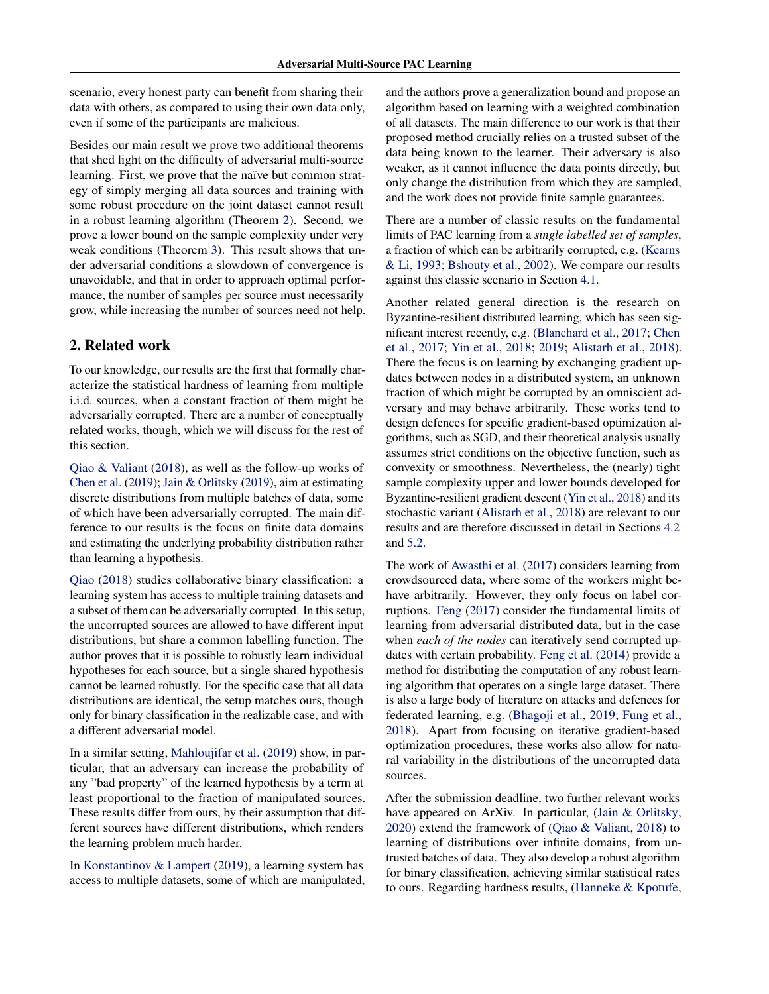scenario, every honest party can benefit from sharing their data with others, as compared to using their own data only, even if some of the participants are malicious.

Besides our main result we prove two additional theorems that shed light on the difficulty of adversarial multi-source learning. First, we prove that the naïve but common strategy of simply merging all data sources and training with some robust procedure on the joint dataset cannot result in a robust learning algorithm (Theorem [2\)](#page-7-0). Second, we prove a lower bound on the sample complexity under very weak conditions (Theorem [3\)](#page-7-0). This result shows that under adversarial conditions a slowdown of convergence is unavoidable, and that in order to approach optimal performance, the number of samples per source must necessarily grow, while increasing the number of sources need not help.

# 2. Related work

To our knowledge, our results are the first that formally characterize the statistical hardness of learning from multiple i.i.d. sources, when a constant fraction of them might be adversarially corrupted. There are a number of conceptually related works, though, which we will discuss for the rest of this section.

[Qiao & Valiant](#page-9-0) [\(2018\)](#page-9-0), as well as the follow-up works of [Chen et al.](#page-8-0) [\(2019\)](#page-8-0); [Jain & Orlitsky](#page-9-0) [\(2019\)](#page-9-0), aim at estimating discrete distributions from multiple batches of data, some of which have been adversarially corrupted. The main difference to our results is the focus on finite data domains and estimating the underlying probability distribution rather than learning a hypothesis.

[Qiao](#page-9-0) [\(2018\)](#page-9-0) studies collaborative binary classification: a learning system has access to multiple training datasets and a subset of them can be adversarially corrupted. In this setup, the uncorrupted sources are allowed to have different input distributions, but share a common labelling function. The author proves that it is possible to robustly learn individual hypotheses for each source, but a single shared hypothesis cannot be learned robustly. For the specific case that all data distributions are identical, the setup matches ours, though only for binary classification in the realizable case, and with a different adversarial model.

In a similar setting, [Mahloujifar et al.](#page-9-0) [\(2019\)](#page-9-0) show, in particular, that an adversary can increase the probability of any "bad property" of the learned hypothesis by a term at least proportional to the fraction of manipulated sources. These results differ from ours, by their assumption that different sources have different distributions, which renders the learning problem much harder.

In [Konstantinov & Lampert](#page-9-0) [\(2019\)](#page-9-0), a learning system has access to multiple datasets, some of which are manipulated, and the authors prove a generalization bound and propose an algorithm based on learning with a weighted combination of all datasets. The main difference to our work is that their proposed method crucially relies on a trusted subset of the data being known to the learner. Their adversary is also weaker, as it cannot influence the data points directly, but only change the distribution from which they are sampled, and the work does not provide finite sample guarantees.

There are a number of classic results on the fundamental limits of PAC learning from a *single labelled set of samples*, a fraction of which can be arbitrarily corrupted, e.g. [\(Kearns](#page-9-0) [& Li,](#page-9-0) [1993;](#page-9-0) [Bshouty et al.,](#page-8-0) [2002\)](#page-8-0). We compare our results against this classic scenario in Section [4.1.](#page-3-0)

Another related general direction is the research on Byzantine-resilient distributed learning, which has seen significant interest recently, e.g. [\(Blanchard et al.,](#page-8-0) [2017;](#page-8-0) [Chen](#page-8-0) [et al.,](#page-8-0) [2017;](#page-8-0) [Yin et al.,](#page-9-0) [2018;](#page-9-0) [2019;](#page-9-0) [Alistarh et al.,](#page-8-0) [2018\)](#page-8-0). There the focus is on learning by exchanging gradient updates between nodes in a distributed system, an unknown fraction of which might be corrupted by an omniscient adversary and may behave arbitrarily. These works tend to design defences for specific gradient-based optimization algorithms, such as SGD, and their theoretical analysis usually assumes strict conditions on the objective function, such as convexity or smoothness. Nevertheless, the (nearly) tight sample complexity upper and lower bounds developed for Byzantine-resilient gradient descent [\(Yin et al.,](#page-9-0) [2018\)](#page-9-0) and its stochastic variant [\(Alistarh et al.,](#page-8-0) [2018\)](#page-8-0) are relevant to our results and are therefore discussed in detail in Sections [4.2](#page-4-0) and [5.2.](#page-7-0)

The work of [Awasthi et al.](#page-8-0) [\(2017\)](#page-8-0) considers learning from crowdsourced data, where some of the workers might behave arbitrarily. However, they only focus on label corruptions. [Feng](#page-9-0) [\(2017\)](#page-9-0) consider the fundamental limits of learning from adversarial distributed data, but in the case when *each of the nodes* can iteratively send corrupted updates with certain probability. [Feng et al.](#page-9-0) [\(2014\)](#page-9-0) provide a method for distributing the computation of any robust learning algorithm that operates on a single large dataset. There is also a large body of literature on attacks and defences for federated learning, e.g. [\(Bhagoji et al.,](#page-8-0) [2019;](#page-8-0) [Fung et al.,](#page-9-0) [2018\)](#page-9-0). Apart from focusing on iterative gradient-based optimization procedures, these works also allow for natural variability in the distributions of the uncorrupted data sources.

After the submission deadline, two further relevant works have appeared on ArXiv. In particular, [\(Jain & Orlitsky,](#page-9-0) [2020\)](#page-9-0) extend the framework of [\(Qiao & Valiant,](#page-9-0) [2018\)](#page-9-0) to learning of distributions over infinite domains, from untrusted batches of data. They also develop a robust algorithm for binary classification, achieving similar statistical rates to ours. Regarding hardness results, [\(Hanneke & Kpotufe,](#page-9-0)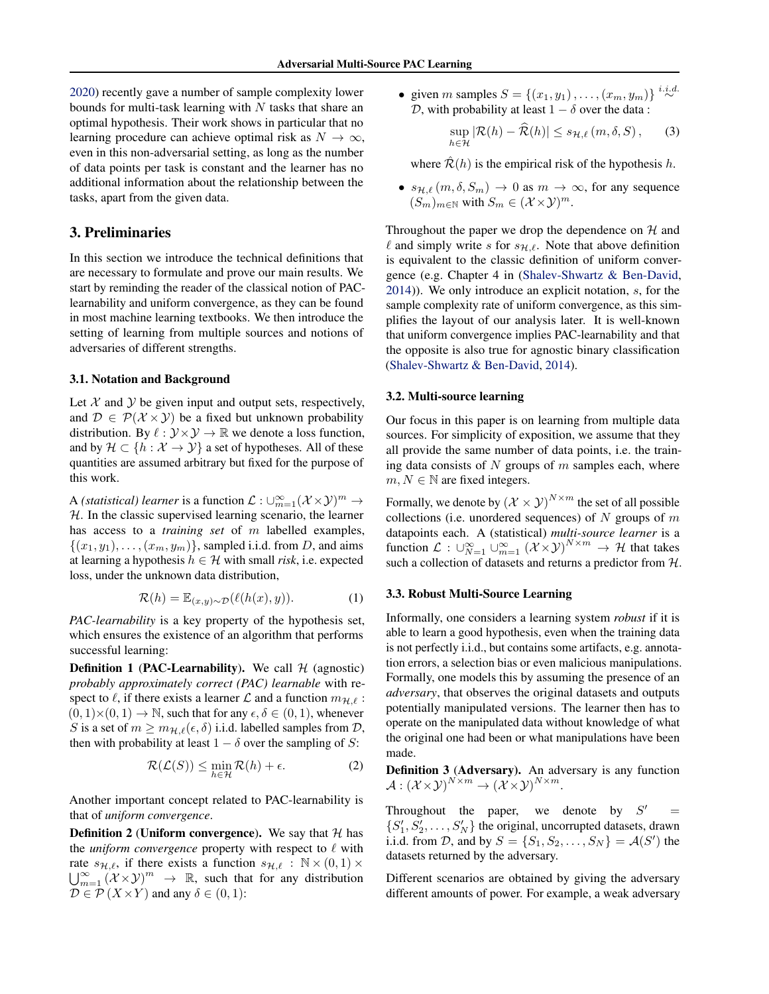[2020\)](#page-9-0) recently gave a number of sample complexity lower bounds for multi-task learning with  $N$  tasks that share an optimal hypothesis. Their work shows in particular that no learning procedure can achieve optimal risk as  $N \to \infty$ , even in this non-adversarial setting, as long as the number of data points per task is constant and the learner has no additional information about the relationship between the tasks, apart from the given data.

# 3. Preliminaries

In this section we introduce the technical definitions that are necessary to formulate and prove our main results. We start by reminding the reader of the classical notion of PAClearnability and uniform convergence, as they can be found in most machine learning textbooks. We then introduce the setting of learning from multiple sources and notions of adversaries of different strengths.

### 3.1. Notation and Background

Let  $X$  and  $Y$  be given input and output sets, respectively, and  $\mathcal{D} \in \mathcal{P}(\mathcal{X} \times \mathcal{Y})$  be a fixed but unknown probability distribution. By  $\ell : \mathcal{Y} \times \mathcal{Y} \rightarrow \mathbb{R}$  we denote a loss function, and by  $\mathcal{H} \subset \{h : \mathcal{X} \to \mathcal{Y}\}\$ a set of hypotheses. All of these quantities are assumed arbitrary but fixed for the purpose of this work.

A *(statistical) learner* is a function  $\mathcal{L}: \cup_{m=1}^{\infty} (\mathcal{X} \times \mathcal{Y})^m \rightarrow$  $H$ . In the classic supervised learning scenario, the learner has access to a *training set* of m labelled examples,  $\{(x_1,y_1),\ldots,(x_m,y_m)\}\$ , sampled i.i.d. from D, and aims at learning a hypothesis  $h \in \mathcal{H}$  with small *risk*, i.e. expected loss, under the unknown data distribution,

$$
\mathcal{R}(h) = \mathbb{E}_{(x,y)\sim\mathcal{D}}(\ell(h(x), y)).\tag{1}
$$

*PAC-learnability* is a key property of the hypothesis set, which ensures the existence of an algorithm that performs successful learning:

**Definition 1 (PAC-Learnability).** We call  $H$  (agnostic) *probably approximately correct (PAC) learnable* with respect to  $\ell$ , if there exists a learner  $\mathcal L$  and a function  $m_{\mathcal H,\ell}$ :  $(0, 1) \times (0, 1) \rightarrow \mathbb{N}$ , such that for any  $\epsilon, \delta \in (0, 1)$ , whenever S is a set of  $m > m_{\mathcal{H},\ell}(\epsilon, \delta)$  i.i.d. labelled samples from D, then with probability at least  $1 - \delta$  over the sampling of S:

$$
\mathcal{R}(\mathcal{L}(S)) \le \min_{h \in \mathcal{H}} \mathcal{R}(h) + \epsilon.
$$
 (2)

Another important concept related to PAC-learnability is that of *uniform convergence*.

**Definition 2 (Uniform convergence).** We say that  $H$  has the *uniform convergence* property with respect to  $\ell$  with rate  $s_{\mathcal{H},\ell}$ , if there exists a function  $s_{\mathcal{H},\ell} : \mathbb{N} \times (0, 1) \times$  $\bigcup_{m=1}^{\infty} (\mathcal{X} \times \mathcal{Y})^m \rightarrow \mathbb{R}$ , such that for any distribution  $\mathcal{D} \in \mathcal{P}(X \times Y)$  and any  $\delta \in (0,1)$ :

• given *m* samples  $S = \{(x_1, y_1), \dots, (x_m, y_m)\}\stackrel{i.i.d.}{\sim}$ D, with probability at least  $1 - \delta$  over the data:

$$
\sup_{h \in \mathcal{H}} |\mathcal{R}(h) - \widehat{\mathcal{R}}(h)| \le s_{\mathcal{H}, \ell} (m, \delta, S), \qquad (3)
$$

where  $\hat{\mathcal{R}}(h)$  is the empirical risk of the hypothesis h.

•  $s_{\mathcal{H},\ell}$   $(m, \delta, S_m) \rightarrow 0$  as  $m \rightarrow \infty$ , for any sequence  $(S_m)_{m \in \mathbb{N}}$  with  $S_m \in (\mathcal{X} \times \mathcal{Y})^m$ .

Throughout the paper we drop the dependence on  $H$  and  $\ell$  and simply write s for  $s_{\mathcal{H},\ell}$ . Note that above definition is equivalent to the classic definition of uniform convergence (e.g. Chapter 4 in [\(Shalev-Shwartz & Ben-David,](#page-9-0) [2014\)](#page-9-0)). We only introduce an explicit notation, s, for the sample complexity rate of uniform convergence, as this simplifies the layout of our analysis later. It is well-known that uniform convergence implies PAC-learnability and that the opposite is also true for agnostic binary classification [\(Shalev-Shwartz & Ben-David,](#page-9-0) [2014\)](#page-9-0).

#### 3.2. Multi-source learning

Our focus in this paper is on learning from multiple data sources. For simplicity of exposition, we assume that they all provide the same number of data points, i.e. the training data consists of  $N$  groups of  $m$  samples each, where  $m, N \in \mathbb{N}$  are fixed integers.

Formally, we denote by  $(\mathcal{X} \times \mathcal{Y})^{N \times m}$  the set of all possible collections (i.e. unordered sequences) of  $N$  groups of  $m$ datapoints each. A (statistical) *multi-source learner* is a function  $\mathcal{L}: \bigcup_{N=1}^{\infty} \bigcup_{m=1}^{\infty} (\mathcal{X} \times \mathcal{Y})^{N \times m} \to \mathcal{H}$  that takes such a collection of datasets and returns a predictor from  $H$ .

## 3.3. Robust Multi-Source Learning

Informally, one considers a learning system *robust* if it is able to learn a good hypothesis, even when the training data is not perfectly i.i.d., but contains some artifacts, e.g. annotation errors, a selection bias or even malicious manipulations. Formally, one models this by assuming the presence of an *adversary*, that observes the original datasets and outputs potentially manipulated versions. The learner then has to operate on the manipulated data without knowledge of what the original one had been or what manipulations have been made.

Definition 3 (Adversary). An adversary is any function  $\mathcal{A}:\left(\mathcal{X}\!\times\!\mathcal{Y}\right)^{N\times m}\to\left(\mathcal{X}\!\times\!\mathcal{Y}\right)^{N\times m}.$ 

Throughout the paper, we denote by  $S'$  $=$  $\{S_1', S_2', \ldots, S_N'\}$  the original, uncorrupted datasets, drawn i.i.d. from D, and by  $S = \{S_1, S_2, \dots, S_N\} = \mathcal{A}(S')$  the datasets returned by the adversary.

Different scenarios are obtained by giving the adversary different amounts of power. For example, a weak adversary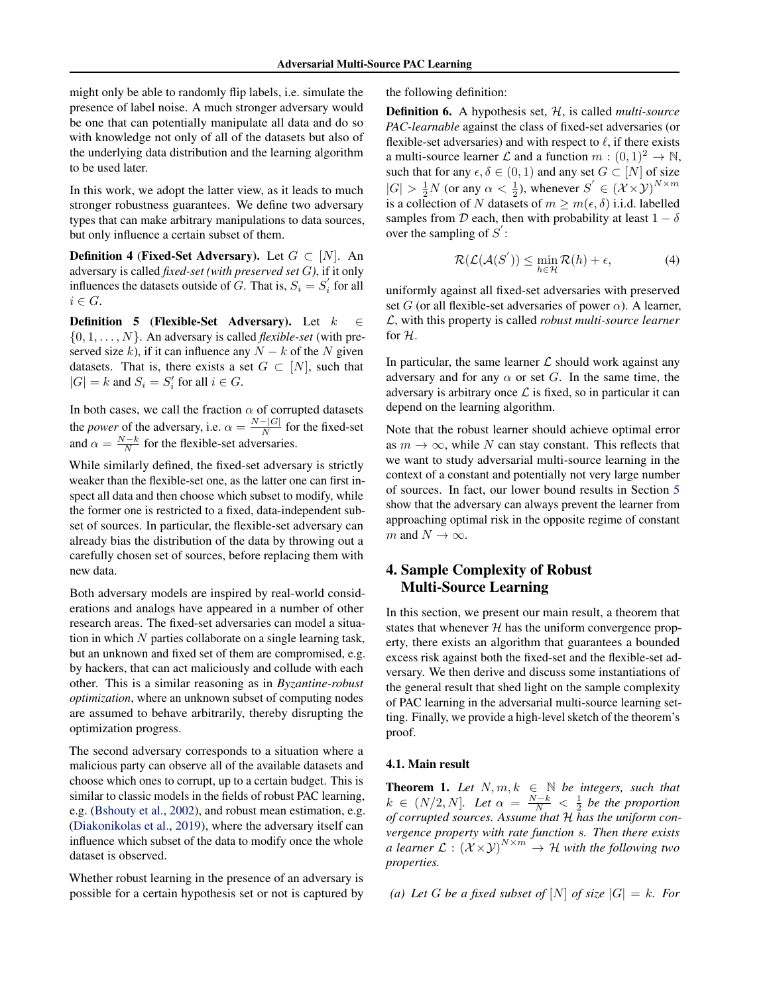<span id="page-3-0"></span>might only be able to randomly flip labels, i.e. simulate the presence of label noise. A much stronger adversary would be one that can potentially manipulate all data and do so with knowledge not only of all of the datasets but also of the underlying data distribution and the learning algorithm to be used later.

In this work, we adopt the latter view, as it leads to much stronger robustness guarantees. We define two adversary types that can make arbitrary manipulations to data sources, but only influence a certain subset of them.

**Definition 4 (Fixed-Set Adversary).** Let  $G \subset [N]$ . An adversary is called *fixed-set (with preserved set* G*)*, if it only influences the datasets outside of G. That is,  $S_i = S'_i$  for all  $i \in G$ .

**Definition 5 (Flexible-Set Adversary).** Let  $k \in \mathbb{R}$  $\{0, 1, \ldots, N\}$ . An adversary is called *flexible-set* (with preserved size k), if it can influence any  $N - k$  of the N given datasets. That is, there exists a set  $G \subset [N]$ , such that  $|G| = k$  and  $S_i = S'_i$  for all  $i \in G$ .

In both cases, we call the fraction  $\alpha$  of corrupted datasets the *power* of the adversary, i.e.  $\alpha = \frac{N-|G|}{N}$  $\frac{1}{N}$  for the fixed-set and  $\alpha = \frac{N-k}{N}$  for the flexible-set adversaries.

While similarly defined, the fixed-set adversary is strictly weaker than the flexible-set one, as the latter one can first inspect all data and then choose which subset to modify, while the former one is restricted to a fixed, data-independent subset of sources. In particular, the flexible-set adversary can already bias the distribution of the data by throwing out a carefully chosen set of sources, before replacing them with new data.

Both adversary models are inspired by real-world considerations and analogs have appeared in a number of other research areas. The fixed-set adversaries can model a situation in which  $N$  parties collaborate on a single learning task, but an unknown and fixed set of them are compromised, e.g. by hackers, that can act maliciously and collude with each other. This is a similar reasoning as in *Byzantine-robust optimization*, where an unknown subset of computing nodes are assumed to behave arbitrarily, thereby disrupting the optimization progress.

The second adversary corresponds to a situation where a malicious party can observe all of the available datasets and choose which ones to corrupt, up to a certain budget. This is similar to classic models in the fields of robust PAC learning, e.g. [\(Bshouty et al.,](#page-8-0) [2002\)](#page-8-0), and robust mean estimation, e.g. [\(Diakonikolas et al.,](#page-9-0) [2019\)](#page-9-0), where the adversary itself can influence which subset of the data to modify once the whole dataset is observed.

Whether robust learning in the presence of an adversary is possible for a certain hypothesis set or not is captured by the following definition:

Definition 6. A hypothesis set, H, is called *multi-source PAC-learnable* against the class of fixed-set adversaries (or flexible-set adversaries) and with respect to  $\ell$ , if there exists a multi-source learner L and a function  $m : (0,1)^2 \to \mathbb{N}$ , such that for any  $\epsilon, \delta \in (0, 1)$  and any set  $G \subset [N]$  of size  $|G| > \frac{1}{2}N$  (or any  $\alpha < \frac{1}{2}$ ), whenever  $S' \in (\mathcal{X} \times \mathcal{Y})^{N \times m}$ is a collection of N datasets of  $m \ge m(\epsilon, \delta)$  i.i.d. labelled samples from D each, then with probability at least  $1 - \delta$ over the sampling of  $S'$ :

$$
\mathcal{R}(\mathcal{L}(\mathcal{A}(S')) \le \min_{h \in \mathcal{H}} \mathcal{R}(h) + \epsilon,\tag{4}
$$

uniformly against all fixed-set adversaries with preserved set G (or all flexible-set adversaries of power  $\alpha$ ). A learner, L, with this property is called *robust multi-source learner* for H.

In particular, the same learner  $\mathcal L$  should work against any adversary and for any  $\alpha$  or set G. In the same time, the adversary is arbitrary once  $\mathcal L$  is fixed, so in particular it can depend on the learning algorithm.

Note that the robust learner should achieve optimal error as  $m \to \infty$ , while N can stay constant. This reflects that we want to study adversarial multi-source learning in the context of a constant and potentially not very large number of sources. In fact, our lower bound results in Section [5](#page-6-0) show that the adversary can always prevent the learner from approaching optimal risk in the opposite regime of constant m and  $N \to \infty$ .

# 4. Sample Complexity of Robust Multi-Source Learning

In this section, we present our main result, a theorem that states that whenever  $H$  has the uniform convergence property, there exists an algorithm that guarantees a bounded excess risk against both the fixed-set and the flexible-set adversary. We then derive and discuss some instantiations of the general result that shed light on the sample complexity of PAC learning in the adversarial multi-source learning setting. Finally, we provide a high-level sketch of the theorem's proof.

## 4.1. Main result

**Theorem 1.** Let  $N, m, k \in \mathbb{N}$  be integers, such that  $k \in (N/2, N]$ . Let  $\alpha = \frac{N-k}{N} < \frac{1}{2}$  be the proportion *of corrupted sources. Assume that* H *has the uniform convergence property with rate function* s*. Then there exists a learner*  $\mathcal{L} : (\mathcal{X} \times \mathcal{Y})^{N \times m} \rightarrow \mathcal{H}$  with the following two *properties.*

(a) Let *G* be a fixed subset of  $[N]$  of size  $|G| = k$ *. For*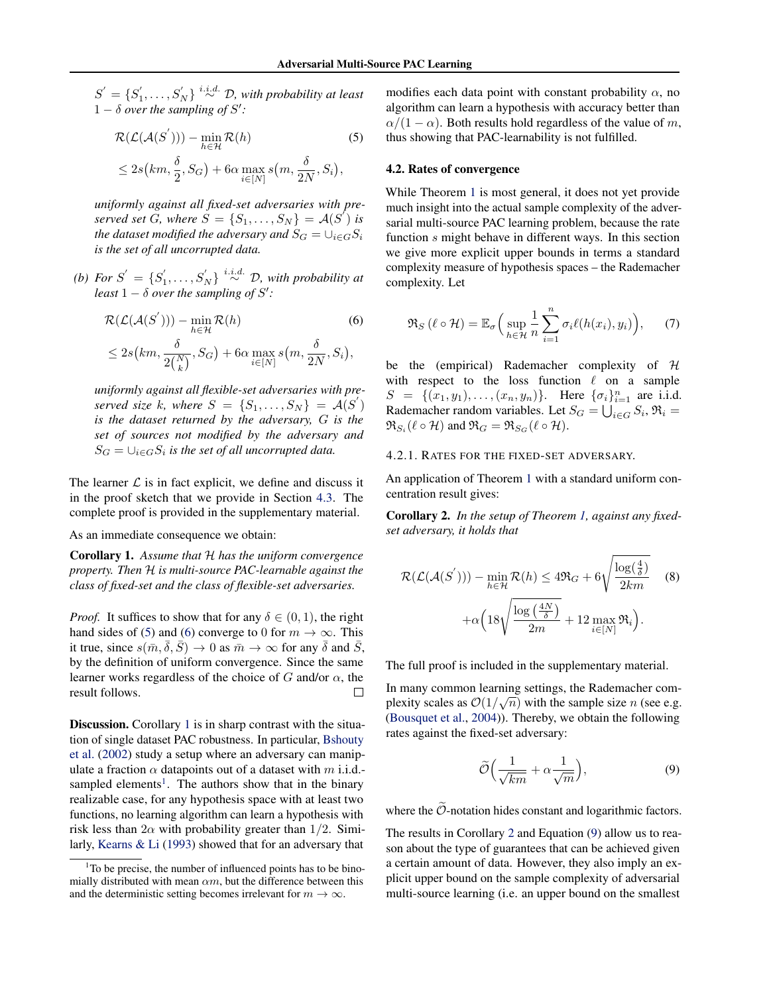<span id="page-4-0"></span> $S' = \{S'_1, \ldots, S'_N\} \stackrel{i.i.d.}{\sim} \mathcal{D}$ , with probability at least  $1 - \delta$  over the sampling of S':

$$
\mathcal{R}(\mathcal{L}(\mathcal{A}(S'))) - \min_{h \in \mathcal{H}} \mathcal{R}(h)
$$
\n
$$
\leq 2s(km, \frac{\delta}{2}, S_G) + 6\alpha \max_{i \in [N]} s(m, \frac{\delta}{2N}, S_i),
$$
\n(5)

*uniformly against all fixed-set adversaries with preserved set*  $\ddot{G}$ *, where*  $\dot{S} = \{S_1, \ldots, S_N\} = \mathcal{A}(S^{\prime})$  *is the dataset modified the adversary and*  $S_G = \bigcup_{i \in G} S_i$ *is the set of all uncorrupted data.*

*(b)* For  $S' = \{S'_1, \ldots, S'_N\}$  <sup>*i.i.d.*</sup>  $\mathcal{D}$ , with probability at *least*  $1 - \delta$  *over the sampling of*  $S'$ :

$$
\mathcal{R}(\mathcal{L}(\mathcal{A}(S'))) - \min_{h \in \mathcal{H}} \mathcal{R}(h)
$$
(6)  

$$
\leq 2s(km, \frac{\delta}{2\binom{N}{k}}, S_G) + 6\alpha \max_{i \in [N]} s(m, \frac{\delta}{2N}, S_i),
$$

*uniformly against all flexible-set adversaries with preserved size* k, where  $S = \{S_1, \ldots, S_N\} = \mathcal{A}(S')$ *is the dataset returned by the adversary,* G *is the set of sources not modified by the adversary and*  $S_G = \bigcup_{i \in G} S_i$  is the set of all uncorrupted data.

The learner  $\mathcal L$  is in fact explicit, we define and discuss it in the proof sketch that we provide in Section [4.3.](#page-5-0) The complete proof is provided in the supplementary material.

#### As an immediate consequence we obtain:

Corollary 1. *Assume that* H *has the uniform convergence property. Then* H *is multi-source PAC-learnable against the class of fixed-set and the class of flexible-set adversaries.*

*Proof.* It suffices to show that for any  $\delta \in (0, 1)$ , the right hand sides of (5) and (6) converge to 0 for  $m \to \infty$ . This it true, since  $s(\bar{m}, \bar{\delta}, \bar{S}) \rightarrow 0$  as  $\bar{m} \rightarrow \infty$  for any  $\bar{\delta}$  and  $\bar{S}$ , by the definition of uniform convergence. Since the same learner works regardless of the choice of G and/or  $\alpha$ , the result follows. П

Discussion. Corollary 1 is in sharp contrast with the situation of single dataset PAC robustness. In particular, [Bshouty](#page-8-0) [et al.](#page-8-0) [\(2002\)](#page-8-0) study a setup where an adversary can manipulate a fraction  $\alpha$  datapoints out of a dataset with m i.i.d.sampled elements<sup>1</sup>. The authors show that in the binary realizable case, for any hypothesis space with at least two functions, no learning algorithm can learn a hypothesis with risk less than  $2\alpha$  with probability greater than  $1/2$ . Similarly, [Kearns & Li](#page-9-0) [\(1993\)](#page-9-0) showed that for an adversary that

modifies each data point with constant probability  $\alpha$ , no algorithm can learn a hypothesis with accuracy better than  $\alpha/(1-\alpha)$ . Both results hold regardless of the value of m, thus showing that PAC-learnability is not fulfilled.

#### 4.2. Rates of convergence

While Theorem [1](#page-3-0) is most general, it does not yet provide much insight into the actual sample complexity of the adversarial multi-source PAC learning problem, because the rate function s might behave in different ways. In this section we give more explicit upper bounds in terms a standard complexity measure of hypothesis spaces – the Rademacher complexity. Let

$$
\Re_S(\ell \circ \mathcal{H}) = \mathbb{E}_{\sigma}\Big(\sup_{h \in \mathcal{H}} \frac{1}{n} \sum_{i=1}^n \sigma_i \ell(h(x_i), y_i)\Big), \qquad (7)
$$

be the (empirical) Rademacher complexity of H with respect to the loss function  $\ell$  on a sample  $S = \{(x_1, y_1), \ldots, (x_n, y_n)\}.$  Here  $\{\sigma_i\}_{i=1}^n$  are i.i.d. Rademacher random variables. Let  $S_G = \bigcup_{i \in G} S_i$ ,  $\Re_i =$  $\mathfrak{R}_{S_i}(\ell \circ \mathcal{H})$  and  $\mathfrak{R}_{G} = \mathfrak{R}_{S_G}(\ell \circ \mathcal{H})$ .

# 4.2.1. RATES FOR THE FIXED-SET ADVERSARY.

An application of Theorem [1](#page-3-0) with a standard uniform concentration result gives:

Corollary 2. *In the setup of Theorem [1,](#page-3-0) against any fixedset adversary, it holds that*

$$
\mathcal{R}(\mathcal{L}(\mathcal{A}(S'))) - \min_{h \in \mathcal{H}} \mathcal{R}(h) \le 4\mathfrak{R}_G + 6\sqrt{\frac{\log(\frac{4}{\delta})}{2km}} \quad (8)
$$

$$
+ \alpha \left(18\sqrt{\frac{\log(\frac{4N}{\delta})}{2m}} + 12 \max_{i \in [N]} \mathfrak{R}_i \right).
$$

The full proof is included in the supplementary material.

In many common learning settings, the Rademacher complexity scales as  $\mathcal{O}(1/\sqrt{n})$  with the sample size *n* (see e.g. [\(Bousquet et al.,](#page-8-0) [2004\)](#page-8-0)). Thereby, we obtain the following rates against the fixed-set adversary:

$$
\widetilde{\mathcal{O}}\Big(\frac{1}{\sqrt{km}} + \alpha \frac{1}{\sqrt{m}}\Big),\tag{9}
$$

where the  $\widetilde{\mathcal{O}}$ -notation hides constant and logarithmic factors.

The results in Corollary 2 and Equation (9) allow us to reason about the type of guarantees that can be achieved given a certain amount of data. However, they also imply an explicit upper bound on the sample complexity of adversarial multi-source learning (i.e. an upper bound on the smallest

 $1$ To be precise, the number of influenced points has to be binomially distributed with mean  $\alpha m$ , but the difference between this and the deterministic setting becomes irrelevant for  $m \to \infty$ .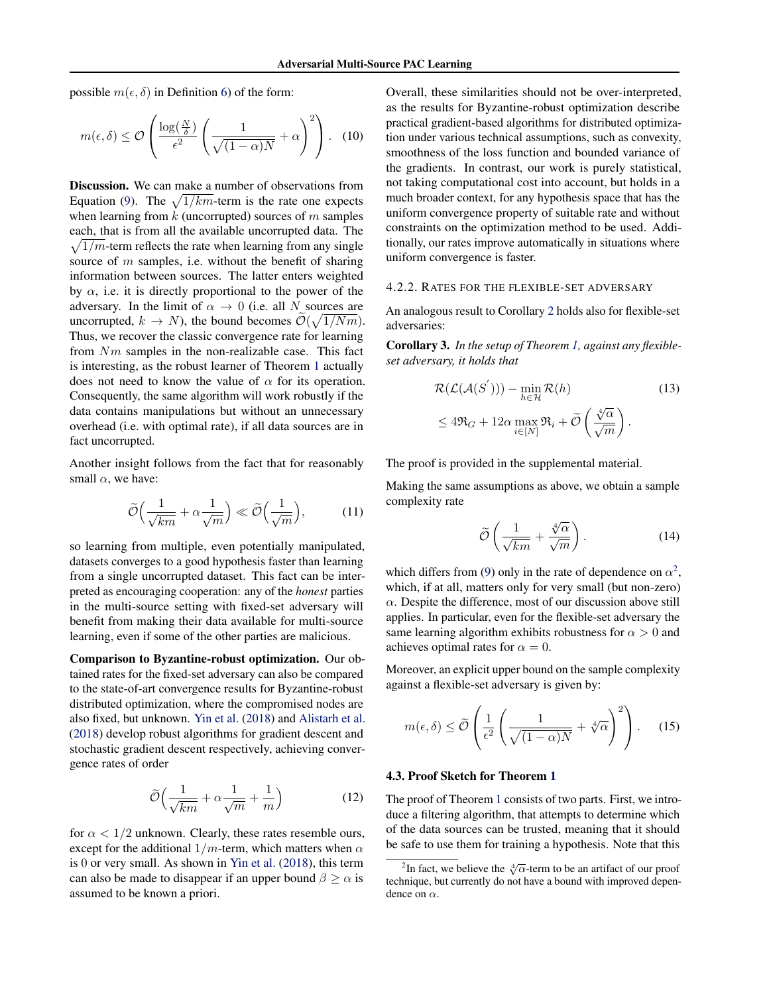<span id="page-5-0"></span>possible  $m(\epsilon, \delta)$  in Definition [6\)](#page-3-0) of the form:

$$
m(\epsilon, \delta) \le \mathcal{O}\left(\frac{\log(\frac{N}{\delta})}{\epsilon^2} \left(\frac{1}{\sqrt{(1-\alpha)N}} + \alpha\right)^2\right). \quad (10)
$$

Discussion. We can make a number of observations from Equation [\(9\)](#page-4-0). The  $\sqrt{1/km}$ -term is the rate one expects when learning from  $k$  (uncorrupted) sources of  $m$  samples each, that is from all the available uncorrupted data. The  $\sqrt{1/m}$ -term reflects the rate when learning from any single source of  $m$  samples, i.e. without the benefit of sharing information between sources. The latter enters weighted by  $\alpha$ , i.e. it is directly proportional to the power of the adversary. In the limit of  $\alpha \rightarrow 0$  (i.e. all N sources are uncorrupted,  $k \to N$ ), the bound becomes  $\mathcal{O}(\sqrt{1/Nm})$ . Thus, we recover the classic convergence rate for learning from Nm samples in the non-realizable case. This fact is interesting, as the robust learner of Theorem [1](#page-3-0) actually does not need to know the value of  $\alpha$  for its operation. Consequently, the same algorithm will work robustly if the data contains manipulations but without an unnecessary overhead (i.e. with optimal rate), if all data sources are in fact uncorrupted.

Another insight follows from the fact that for reasonably small  $\alpha$ , we have:

$$
\widetilde{\mathcal{O}}\Big(\frac{1}{\sqrt{km}} + \alpha \frac{1}{\sqrt{m}}\Big) \ll \widetilde{\mathcal{O}}\Big(\frac{1}{\sqrt{m}}\Big),\tag{11}
$$

so learning from multiple, even potentially manipulated, datasets converges to a good hypothesis faster than learning from a single uncorrupted dataset. This fact can be interpreted as encouraging cooperation: any of the *honest* parties in the multi-source setting with fixed-set adversary will benefit from making their data available for multi-source learning, even if some of the other parties are malicious.

Comparison to Byzantine-robust optimization. Our obtained rates for the fixed-set adversary can also be compared to the state-of-art convergence results for Byzantine-robust distributed optimization, where the compromised nodes are also fixed, but unknown. [Yin et al.](#page-9-0) [\(2018\)](#page-9-0) and [Alistarh et al.](#page-8-0) [\(2018\)](#page-8-0) develop robust algorithms for gradient descent and stochastic gradient descent respectively, achieving convergence rates of order

$$
\widetilde{\mathcal{O}}\Big(\frac{1}{\sqrt{km}} + \alpha \frac{1}{\sqrt{m}} + \frac{1}{m}\Big) \tag{12}
$$

for  $\alpha < 1/2$  unknown. Clearly, these rates resemble ours, except for the additional  $1/m$ -term, which matters when  $\alpha$ is 0 or very small. As shown in [Yin et al.](#page-9-0) [\(2018\)](#page-9-0), this term can also be made to disappear if an upper bound  $\beta > \alpha$  is assumed to be known a priori.

Overall, these similarities should not be over-interpreted, as the results for Byzantine-robust optimization describe practical gradient-based algorithms for distributed optimization under various technical assumptions, such as convexity, smoothness of the loss function and bounded variance of the gradients. In contrast, our work is purely statistical, not taking computational cost into account, but holds in a much broader context, for any hypothesis space that has the uniform convergence property of suitable rate and without constraints on the optimization method to be used. Additionally, our rates improve automatically in situations where uniform convergence is faster.

# 4.2.2. RATES FOR THE FLEXIBLE-SET ADVERSARY

An analogous result to Corollary [2](#page-4-0) holds also for flexible-set adversaries:

Corollary 3. *In the setup of Theorem [1,](#page-3-0) against any flexibleset adversary, it holds that*

$$
\mathcal{R}(\mathcal{L}(\mathcal{A}(S'))) - \min_{h \in \mathcal{H}} \mathcal{R}(h)
$$
\n
$$
\leq 4\mathfrak{R}_G + 12\alpha \max_{i \in [N]} \mathfrak{R}_i + \widetilde{\mathcal{O}}\left(\frac{\sqrt[4]{\alpha}}{\sqrt{m}}\right).
$$
\n(13)

The proof is provided in the supplemental material.

Making the same assumptions as above, we obtain a sample complexity rate

$$
\widetilde{\mathcal{O}}\left(\frac{1}{\sqrt{km}} + \frac{\sqrt[4]{\alpha}}{\sqrt{m}}\right). \tag{14}
$$

which differs from [\(9\)](#page-4-0) only in the rate of dependence on  $\alpha^2$ , which, if at all, matters only for very small (but non-zero)  $\alpha$ . Despite the difference, most of our discussion above still applies. In particular, even for the flexible-set adversary the same learning algorithm exhibits robustness for  $\alpha > 0$  and achieves optimal rates for  $\alpha = 0$ .

Moreover, an explicit upper bound on the sample complexity against a flexible-set adversary is given by:

$$
m(\epsilon, \delta) \le \widetilde{\mathcal{O}}\left(\frac{1}{\epsilon^2} \left(\frac{1}{\sqrt{(1-\alpha)N}} + \sqrt[4]{\alpha}\right)^2\right). \tag{15}
$$

### 4.3. Proof Sketch for Theorem [1](#page-3-0)

The proof of Theorem [1](#page-3-0) consists of two parts. First, we introduce a filtering algorithm, that attempts to determine which of the data sources can be trusted, meaning that it should be safe to use them for training a hypothesis. Note that this

 $\frac{1}{2}$ In fact, we believe the  $\sqrt[4]{\alpha}$ -term to be an artifact of our proof technique, but currently do not have a bound with improved dependence on  $\alpha$ .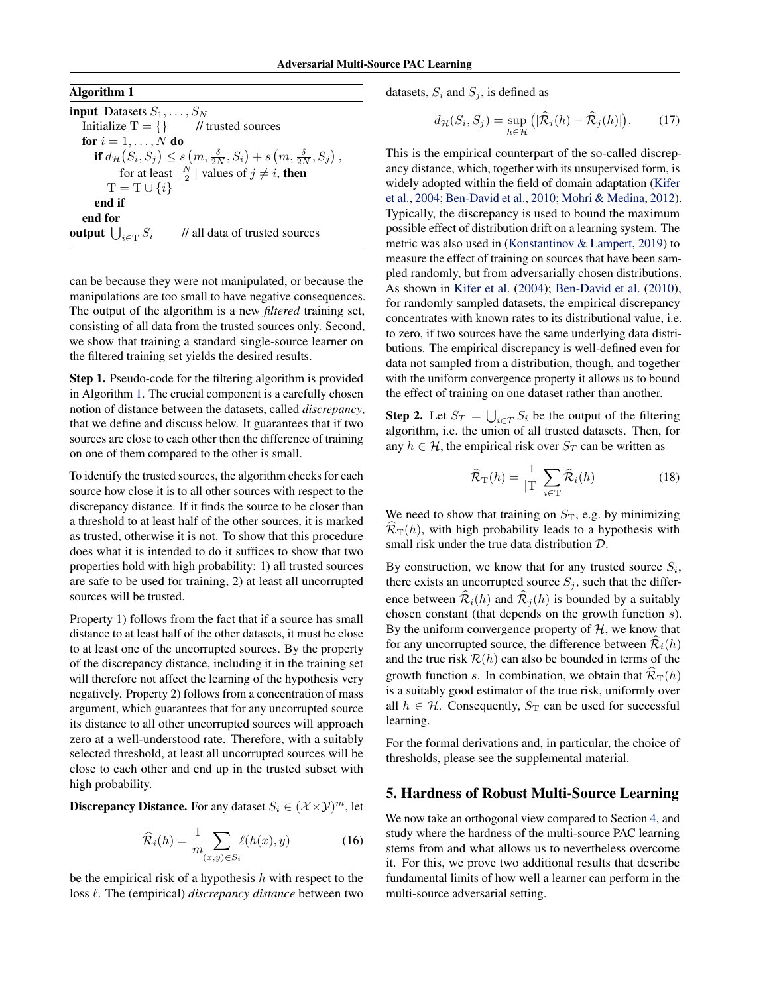<span id="page-6-0"></span>Algorithm 1

input Datasets  $S_1, \ldots, S_N$ Initialize  $T = \{\}$  // trusted sources for  $i = 1, \ldots, N$  do if  $d_{\mathcal{H}}(S_i, S_j) \leq s(m, \frac{\delta}{2N}, S_i) + s(m, \frac{\delta}{2N}, S_j),$ for at least  $\lfloor \frac{N}{2} \rfloor$  values of  $j \neq i$ , then  $T = T \cup \{i\}$ end if end for output  $\bigcup_{i \in \mathrm{T}} S_i$ // all data of trusted sources

can be because they were not manipulated, or because the manipulations are too small to have negative consequences. The output of the algorithm is a new *filtered* training set, consisting of all data from the trusted sources only. Second, we show that training a standard single-source learner on the filtered training set yields the desired results.

Step 1. Pseudo-code for the filtering algorithm is provided in Algorithm 1. The crucial component is a carefully chosen notion of distance between the datasets, called *discrepancy*, that we define and discuss below. It guarantees that if two sources are close to each other then the difference of training on one of them compared to the other is small.

To identify the trusted sources, the algorithm checks for each source how close it is to all other sources with respect to the discrepancy distance. If it finds the source to be closer than a threshold to at least half of the other sources, it is marked as trusted, otherwise it is not. To show that this procedure does what it is intended to do it suffices to show that two properties hold with high probability: 1) all trusted sources are safe to be used for training, 2) at least all uncorrupted sources will be trusted.

Property 1) follows from the fact that if a source has small distance to at least half of the other datasets, it must be close to at least one of the uncorrupted sources. By the property of the discrepancy distance, including it in the training set will therefore not affect the learning of the hypothesis very negatively. Property 2) follows from a concentration of mass argument, which guarantees that for any uncorrupted source its distance to all other uncorrupted sources will approach zero at a well-understood rate. Therefore, with a suitably selected threshold, at least all uncorrupted sources will be close to each other and end up in the trusted subset with high probability.

**Discrepancy Distance.** For any dataset  $S_i \in (\mathcal{X} \times \mathcal{Y})^m$ , let

$$
\widehat{\mathcal{R}}_i(h) = \frac{1}{m} \sum_{(x,y) \in S_i} \ell(h(x), y)
$$
\n(16)

be the empirical risk of a hypothesis  $h$  with respect to the loss  $\ell$ . The (empirical) *discrepancy distance* between two datasets,  $S_i$  and  $S_j$ , is defined as

$$
d_{\mathcal{H}}(S_i, S_j) = \sup_{h \in \mathcal{H}} \left( |\widehat{\mathcal{R}}_i(h) - \widehat{\mathcal{R}}_j(h)| \right). \tag{17}
$$

This is the empirical counterpart of the so-called discrepancy distance, which, together with its unsupervised form, is widely adopted within the field of domain adaptation [\(Kifer](#page-9-0) [et al.,](#page-9-0) [2004;](#page-9-0) [Ben-David et al.,](#page-8-0) [2010;](#page-8-0) [Mohri & Medina,](#page-9-0) [2012\)](#page-9-0). Typically, the discrepancy is used to bound the maximum possible effect of distribution drift on a learning system. The metric was also used in [\(Konstantinov & Lampert,](#page-9-0) [2019\)](#page-9-0) to measure the effect of training on sources that have been sampled randomly, but from adversarially chosen distributions. As shown in [Kifer et al.](#page-9-0) [\(2004\)](#page-9-0); [Ben-David et al.](#page-8-0) [\(2010\)](#page-8-0), for randomly sampled datasets, the empirical discrepancy concentrates with known rates to its distributional value, i.e. to zero, if two sources have the same underlying data distributions. The empirical discrepancy is well-defined even for data not sampled from a distribution, though, and together with the uniform convergence property it allows us to bound the effect of training on one dataset rather than another.

**Step 2.** Let  $S_T = \bigcup_{i \in T} S_i$  be the output of the filtering algorithm, i.e. the union of all trusted datasets. Then, for any  $h \in \mathcal{H}$ , the empirical risk over  $S_T$  can be written as

$$
\widehat{\mathcal{R}}_{\mathrm{T}}(h) = \frac{1}{|\mathrm{T}|} \sum_{i \in \mathrm{T}} \widehat{\mathcal{R}}_i(h) \tag{18}
$$

We need to show that training on  $S_T$ , e.g. by minimizing  $\mathcal{R}_{\text{T}}(h)$ , with high probability leads to a hypothesis with small risk under the true data distribution D.

By construction, we know that for any trusted source  $S_i$ , there exists an uncorrupted source  $S_j$ , such that the difference between  $\mathcal{R}_i(h)$  and  $\mathcal{R}_j(h)$  is bounded by a suitably chosen constant (that depends on the growth function s). By the uniform convergence property of  $H$ , we know that for any uncorrupted source, the difference between  $\mathcal{R}_i(h)$ and the true risk  $\mathcal{R}(h)$  can also be bounded in terms of the growth function s. In combination, we obtain that  $\widehat{\mathcal{R}}_{\mathrm{T}}(h)$ is a suitably good estimator of the true risk, uniformly over all  $h \in \mathcal{H}$ . Consequently,  $S_T$  can be used for successful learning.

For the formal derivations and, in particular, the choice of thresholds, please see the supplemental material.

# 5. Hardness of Robust Multi-Source Learning

We now take an orthogonal view compared to Section [4,](#page-3-0) and study where the hardness of the multi-source PAC learning stems from and what allows us to nevertheless overcome it. For this, we prove two additional results that describe fundamental limits of how well a learner can perform in the multi-source adversarial setting.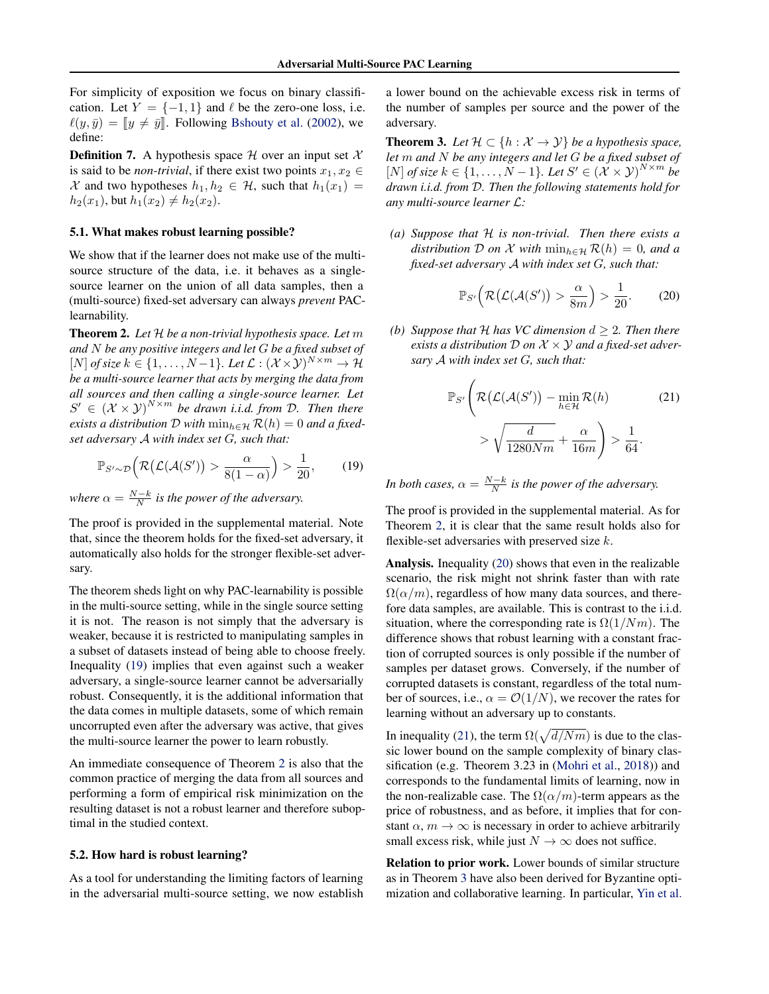<span id="page-7-0"></span>For simplicity of exposition we focus on binary classification. Let  $Y = \{-1, 1\}$  and  $\ell$  be the zero-one loss, i.e.  $\ell(y, \bar{y}) = [y \neq \bar{y}].$  Following [Bshouty et al.](#page-8-0) [\(2002\)](#page-8-0), we define:

**Definition 7.** A hypothesis space  $\mathcal{H}$  over an input set  $\mathcal{X}$ is said to be *non-trivial*, if there exist two points  $x_1, x_2 \in$ X and two hypotheses  $h_1, h_2 \in \mathcal{H}$ , such that  $h_1(x_1) =$  $h_2(x_1)$ , but  $h_1(x_2) \neq h_2(x_2)$ .

#### 5.1. What makes robust learning possible?

We show that if the learner does not make use of the multisource structure of the data, i.e. it behaves as a singlesource learner on the union of all data samples, then a (multi-source) fixed-set adversary can always *prevent* PAClearnability.

Theorem 2. *Let* H *be a non-trivial hypothesis space. Let* m *and* N *be any positive integers and let* G *be a fixed subset of* [*N*] *of size*  $k \in \{1, ..., N-1\}$ *. Let*  $\mathcal{L}$  :  $(\mathcal{X} \times \mathcal{Y})^{N \times m}$  →  $\mathcal{H}$ *be a multi-source learner that acts by merging the data from all sources and then calling a single-source learner. Let*  $S' \in (\mathcal{X} \times \mathcal{Y})^{N \times m}$  be drawn *i.i.d.* from D. Then there *exists a distribution*  $D$  *with*  $\min_{h \in \mathcal{H}} R(h) = 0$  *and a fixedset adversary* A *with index set* G*, such that:*

$$
\mathbb{P}_{S' \sim \mathcal{D}}\Big(\mathcal{R}\big(\mathcal{L}(\mathcal{A}(S')\big) > \frac{\alpha}{8(1-\alpha)}\Big) > \frac{1}{20},\tag{19}
$$

*where*  $\alpha = \frac{N-k}{N}$  *is the power of the adversary.* 

The proof is provided in the supplemental material. Note that, since the theorem holds for the fixed-set adversary, it automatically also holds for the stronger flexible-set adversary.

The theorem sheds light on why PAC-learnability is possible in the multi-source setting, while in the single source setting it is not. The reason is not simply that the adversary is weaker, because it is restricted to manipulating samples in a subset of datasets instead of being able to choose freely. Inequality (19) implies that even against such a weaker adversary, a single-source learner cannot be adversarially robust. Consequently, it is the additional information that the data comes in multiple datasets, some of which remain uncorrupted even after the adversary was active, that gives the multi-source learner the power to learn robustly.

An immediate consequence of Theorem 2 is also that the common practice of merging the data from all sources and performing a form of empirical risk minimization on the resulting dataset is not a robust learner and therefore suboptimal in the studied context.

## 5.2. How hard is robust learning?

As a tool for understanding the limiting factors of learning in the adversarial multi-source setting, we now establish a lower bound on the achievable excess risk in terms of the number of samples per source and the power of the adversary.

**Theorem 3.** Let  $\mathcal{H} \subset \{h : \mathcal{X} \to \mathcal{Y}\}\$ be a hypothesis space, *let* m *and* N *be any integers and let* G *be a fixed subset of* [*N*] *of size*  $k \in \{1, ..., N-1\}$ *. Let*  $S' \in (\mathcal{X} \times \mathcal{Y})^{N \times m}$  be *drawn i.i.d. from* D*. Then the following statements hold for any multi-source learner* L*:*

*(a) Suppose that* H *is non-trivial. Then there exists a distribution*  $D$  *on*  $\mathcal X$  *with*  $\min_{h \in \mathcal H} \mathcal R(h) = 0$ *, and a fixed-set adversary* A *with index set* G*, such that:*

$$
\mathbb{P}_{S'}\Big(\mathcal{R}\big(\mathcal{L}(\mathcal{A}(S')) > \frac{\alpha}{8m}\Big) > \frac{1}{20}.\tag{20}
$$

*(b) Suppose that*  $H$  *has VC dimension*  $d \geq 2$ *. Then there exists a distribution* D *on* X × Y *and a fixed-set adversary* A *with index set* G*, such that:*

$$
\mathbb{P}_{S'}\left(\mathcal{R}\big(\mathcal{L}(\mathcal{A}(S')\big) - \min_{h \in \mathcal{H}} \mathcal{R}(h) \right) \ge \sqrt{\frac{d}{1280Nm} + \frac{\alpha}{16m}} \right) > \frac{1}{64}.
$$
 (21)

*In both cases,*  $\alpha = \frac{N-k}{N}$  *is the power of the adversary.* 

The proof is provided in the supplemental material. As for Theorem 2, it is clear that the same result holds also for flexible-set adversaries with preserved size  $k$ .

Analysis. Inequality (20) shows that even in the realizable scenario, the risk might not shrink faster than with rate  $\Omega(\alpha/m)$ , regardless of how many data sources, and therefore data samples, are available. This is contrast to the i.i.d. situation, where the corresponding rate is  $\Omega(1/Nm)$ . The difference shows that robust learning with a constant fraction of corrupted sources is only possible if the number of samples per dataset grows. Conversely, if the number of corrupted datasets is constant, regardless of the total number of sources, i.e.,  $\alpha = \mathcal{O}(1/N)$ , we recover the rates for learning without an adversary up to constants.

In inequality (21), the term  $\Omega(\sqrt{d/Nm})$  is due to the classic lower bound on the sample complexity of binary classification (e.g. Theorem 3.23 in [\(Mohri et al.,](#page-9-0) [2018\)](#page-9-0)) and corresponds to the fundamental limits of learning, now in the non-realizable case. The  $\Omega(\alpha/m)$ -term appears as the price of robustness, and as before, it implies that for constant  $\alpha$ ,  $m \to \infty$  is necessary in order to achieve arbitrarily small excess risk, while just  $N \to \infty$  does not suffice.

Relation to prior work. Lower bounds of similar structure as in Theorem 3 have also been derived for Byzantine optimization and collaborative learning. In particular, [Yin et al.](#page-9-0)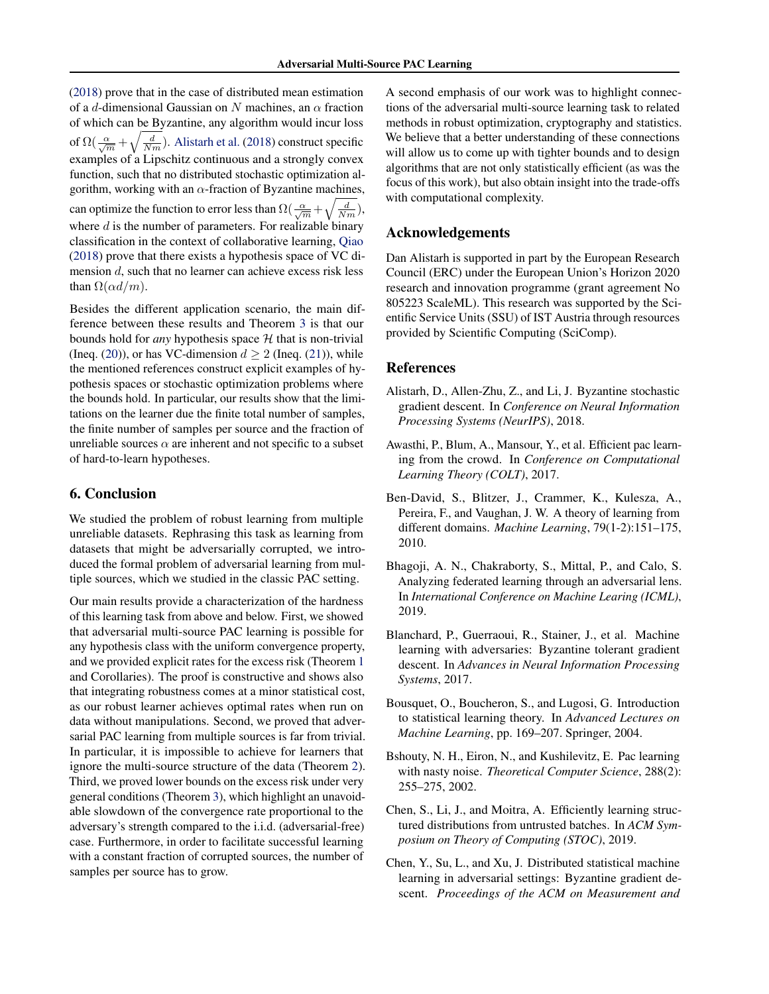<span id="page-8-0"></span>[\(2018\)](#page-9-0) prove that in the case of distributed mean estimation of a d-dimensional Gaussian on N machines, an  $\alpha$  fraction of which can be Byzantine, any algorithm would incur loss of  $\Omega(\frac{\alpha}{\sqrt{m}} + \sqrt{\frac{d}{Nm}})$ . Alistarh et al. (2018) construct specific examples of a Lipschitz continuous and a strongly convex function, such that no distributed stochastic optimization algorithm, working with an  $\alpha$ -fraction of Byzantine machines, can optimize the function to error less than  $\Omega(\frac{\alpha}{\sqrt{m}}+\sqrt{\frac{d}{Nm}})$ , where  $d$  is the number of parameters. For realizable binary classification in the context of collaborative learning, [Qiao](#page-9-0) [\(2018\)](#page-9-0) prove that there exists a hypothesis space of VC dimension d, such that no learner can achieve excess risk less than  $\Omega(\alpha d/m)$ .

Besides the different application scenario, the main difference between these results and Theorem [3](#page-7-0) is that our bounds hold for *any* hypothesis space  $H$  that is non-trivial (Ineq. [\(20\)](#page-7-0)), or has VC-dimension  $d > 2$  (Ineq. [\(21\)](#page-7-0)), while the mentioned references construct explicit examples of hypothesis spaces or stochastic optimization problems where the bounds hold. In particular, our results show that the limitations on the learner due the finite total number of samples, the finite number of samples per source and the fraction of unreliable sources  $\alpha$  are inherent and not specific to a subset of hard-to-learn hypotheses.

# 6. Conclusion

We studied the problem of robust learning from multiple unreliable datasets. Rephrasing this task as learning from datasets that might be adversarially corrupted, we introduced the formal problem of adversarial learning from multiple sources, which we studied in the classic PAC setting.

Our main results provide a characterization of the hardness of this learning task from above and below. First, we showed that adversarial multi-source PAC learning is possible for any hypothesis class with the uniform convergence property, and we provided explicit rates for the excess risk (Theorem [1](#page-3-0) and Corollaries). The proof is constructive and shows also that integrating robustness comes at a minor statistical cost, as our robust learner achieves optimal rates when run on data without manipulations. Second, we proved that adversarial PAC learning from multiple sources is far from trivial. In particular, it is impossible to achieve for learners that ignore the multi-source structure of the data (Theorem [2\)](#page-7-0). Third, we proved lower bounds on the excess risk under very general conditions (Theorem [3\)](#page-7-0), which highlight an unavoidable slowdown of the convergence rate proportional to the adversary's strength compared to the i.i.d. (adversarial-free) case. Furthermore, in order to facilitate successful learning with a constant fraction of corrupted sources, the number of samples per source has to grow.

A second emphasis of our work was to highlight connections of the adversarial multi-source learning task to related methods in robust optimization, cryptography and statistics. We believe that a better understanding of these connections will allow us to come up with tighter bounds and to design algorithms that are not only statistically efficient (as was the focus of this work), but also obtain insight into the trade-offs with computational complexity.

# Acknowledgements

Dan Alistarh is supported in part by the European Research Council (ERC) under the European Union's Horizon 2020 research and innovation programme (grant agreement No 805223 ScaleML). This research was supported by the Scientific Service Units (SSU) of IST Austria through resources provided by Scientific Computing (SciComp).

### References

- Alistarh, D., Allen-Zhu, Z., and Li, J. Byzantine stochastic gradient descent. In *Conference on Neural Information Processing Systems (NeurIPS)*, 2018.
- Awasthi, P., Blum, A., Mansour, Y., et al. Efficient pac learning from the crowd. In *Conference on Computational Learning Theory (COLT)*, 2017.
- Ben-David, S., Blitzer, J., Crammer, K., Kulesza, A., Pereira, F., and Vaughan, J. W. A theory of learning from different domains. *Machine Learning*, 79(1-2):151–175, 2010.
- Bhagoji, A. N., Chakraborty, S., Mittal, P., and Calo, S. Analyzing federated learning through an adversarial lens. In *International Conference on Machine Learing (ICML)*, 2019.
- Blanchard, P., Guerraoui, R., Stainer, J., et al. Machine learning with adversaries: Byzantine tolerant gradient descent. In *Advances in Neural Information Processing Systems*, 2017.
- Bousquet, O., Boucheron, S., and Lugosi, G. Introduction to statistical learning theory. In *Advanced Lectures on Machine Learning*, pp. 169–207. Springer, 2004.
- Bshouty, N. H., Eiron, N., and Kushilevitz, E. Pac learning with nasty noise. *Theoretical Computer Science*, 288(2): 255–275, 2002.
- Chen, S., Li, J., and Moitra, A. Efficiently learning structured distributions from untrusted batches. In *ACM Symposium on Theory of Computing (STOC)*, 2019.
- Chen, Y., Su, L., and Xu, J. Distributed statistical machine learning in adversarial settings: Byzantine gradient descent. *Proceedings of the ACM on Measurement and*